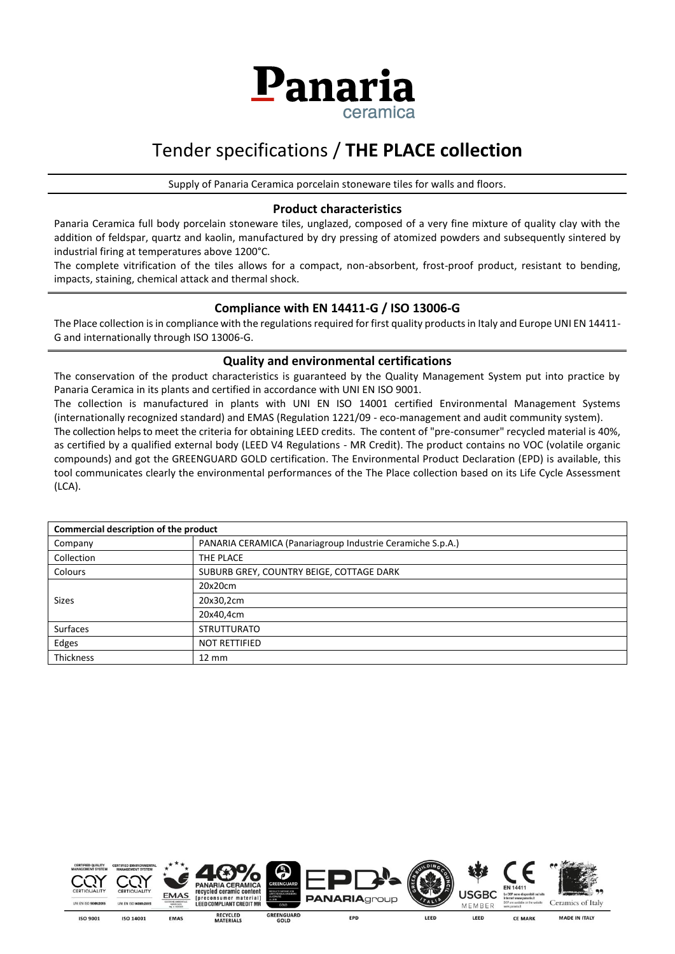

# Tender specifications / **THE PLACE collection**

Supply of Panaria Ceramica porcelain stoneware tiles for walls and floors.

#### **Product characteristics**

Panaria Ceramica full body porcelain stoneware tiles, unglazed, composed of a very fine mixture of quality clay with the addition of feldspar, quartz and kaolin, manufactured by dry pressing of atomized powders and subsequently sintered by industrial firing at temperatures above 1200°C.

The complete vitrification of the tiles allows for a compact, non-absorbent, frost-proof product, resistant to bending, impacts, staining, chemical attack and thermal shock.

### **Compliance with EN 14411-G / ISO 13006-G**

The Place collection is in compliance with the regulations required for first quality products in Italy and Europe UNI EN 14411- G and internationally through ISO 13006-G.

#### **Quality and environmental certifications**

The conservation of the product characteristics is guaranteed by the Quality Management System put into practice by Panaria Ceramica in its plants and certified in accordance with UNI EN ISO 9001.

The collection is manufactured in plants with UNI EN ISO 14001 certified Environmental Management Systems (internationally recognized standard) and EMAS (Regulation 1221/09 - eco-management and audit community system).

The collection helps to meet the criteria for obtaining LEED credits. The content of "pre-consumer" recycled material is 40%, as certified by a qualified external body (LEED V4 Regulations - MR Credit). The product contains no VOC (volatile organic compounds) and got the GREENGUARD GOLD certification. The Environmental Product Declaration (EPD) is available, this tool communicates clearly the environmental performances of the The Place collection based on its Life Cycle Assessment (LCA).

| Commercial description of the product |                                                            |  |  |  |
|---------------------------------------|------------------------------------------------------------|--|--|--|
| Company                               | PANARIA CERAMICA (Panariagroup Industrie Ceramiche S.p.A.) |  |  |  |
| Collection                            | THE PLACE                                                  |  |  |  |
| Colours                               | SUBURB GREY, COUNTRY BEIGE, COTTAGE DARK                   |  |  |  |
|                                       | 20x20cm                                                    |  |  |  |
| <b>Sizes</b>                          | 20x30,2cm                                                  |  |  |  |
|                                       | 20x40,4cm                                                  |  |  |  |
| Surfaces                              | <b>STRUTTURATO</b>                                         |  |  |  |
| Edges                                 | <b>NOT RETTIFIED</b>                                       |  |  |  |
| <b>Thickness</b>                      | $12 \text{ mm}$                                            |  |  |  |